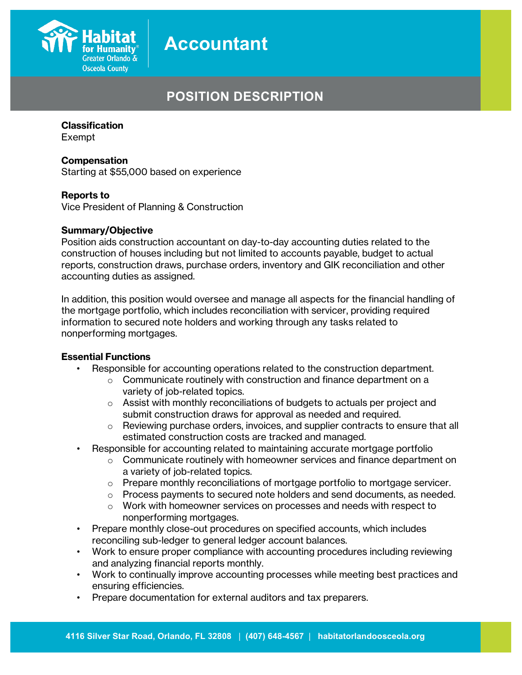

## **POSITION DESCRIPTION**

#### **Classification**

Exempt

#### **Compensation**

Starting at \$55,000 based on experience

#### **Reports to**

Vice President of Planning & Construction

#### **Summary/Objective**

Position aids construction accountant on day-to-day accounting duties related to the construction of houses including but not limited to accounts payable, budget to actual reports, construction draws, purchase orders, inventory and GIK reconciliation and other accounting duties as assigned.

In addition, this position would oversee and manage all aspects for the financial handling of the mortgage portfolio, which includes reconciliation with servicer, providing required information to secured note holders and working through any tasks related to nonperforming mortgages.

### **Essential Functions**

- Responsible for accounting operations related to the construction department.
	- o Communicate routinely with construction and finance department on a variety of job-related topics.
	- o Assist with monthly reconciliations of budgets to actuals per project and submit construction draws for approval as needed and required.
	- $\circ$  Reviewing purchase orders, invoices, and supplier contracts to ensure that all estimated construction costs are tracked and managed.
	- Responsible for accounting related to maintaining accurate mortgage portfolio
		- $\circ$  Communicate routinely with homeowner services and finance department on a variety of job-related topics.
		- $\circ$  Prepare monthly reconciliations of mortgage portfolio to mortgage servicer.
		- $\circ$  Process payments to secured note holders and send documents, as needed.
		- $\circ$  Work with homeowner services on processes and needs with respect to nonperforming mortgages.
- Prepare monthly close-out procedures on specified accounts, which includes reconciling sub-ledger to general ledger account balances.
- Work to ensure proper compliance with accounting procedures including reviewing and analyzing financial reports monthly.
- Work to continually improve accounting processes while meeting best practices and ensuring efficiencies.
- Prepare documentation for external auditors and tax preparers.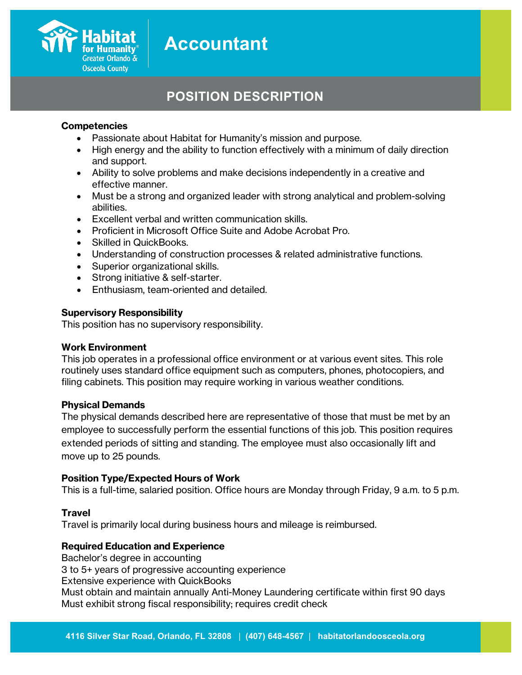

## **POSITION DESCRIPTION**

#### **Competencies**

- Passionate about Habitat for Humanity's mission and purpose.
- High energy and the ability to function effectively with a minimum of daily direction and support.
- Ability to solve problems and make decisions independently in a creative and effective manner.
- Must be a strong and organized leader with strong analytical and problem-solving abilities.
- Excellent verbal and written communication skills.
- Proficient in Microsoft Office Suite and Adobe Acrobat Pro.
- Skilled in QuickBooks.
- Understanding of construction processes & related administrative functions.
- Superior organizational skills.
- Strong initiative & self-starter.
- Enthusiasm, team-oriented and detailed.

#### **Supervisory Responsibility**

This position has no supervisory responsibility.

#### **Work Environment**

This job operates in a professional office environment or at various event sites. This role routinely uses standard office equipment such as computers, phones, photocopiers, and filing cabinets. This position may require working in various weather conditions.

#### **Physical Demands**

The physical demands described here are representative of those that must be met by an employee to successfully perform the essential functions of this job. This position requires extended periods of sitting and standing. The employee must also occasionally lift and move up to 25 pounds.

#### **Position Type/Expected Hours of Work**

This is a full-time, salaried position. Office hours are Monday through Friday, 9 a.m. to 5 p.m.

### **Travel**

Travel is primarily local during business hours and mileage is reimbursed.

### **Required Education and Experience**

Bachelor's degree in accounting 3 to 5+ years of progressive accounting experience Extensive experience with QuickBooks Must obtain and maintain annually Anti-Money Laundering certificate within first 90 days Must exhibit strong fiscal responsibility; requires credit check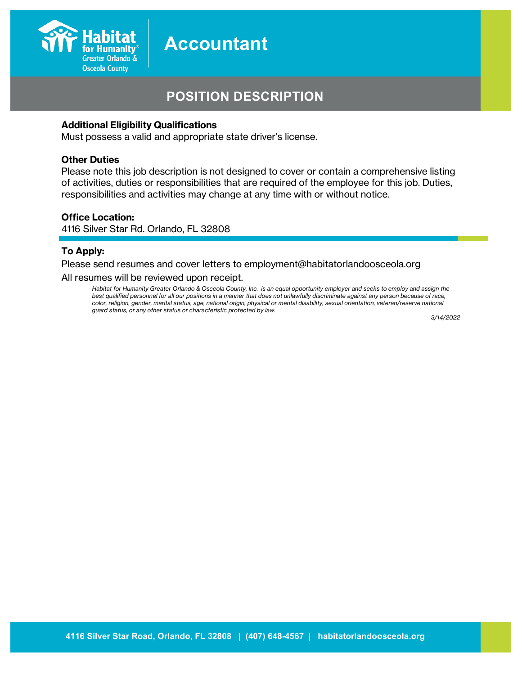

## **POSITION DESCRIPTION**

#### **Additional Eligibility Qualifications**

Must possess a valid and appropriate state driver's license.

#### **Other Duties**

Please note this job description is not designed to cover or contain a comprehensive listing of activities, duties or responsibilities that are required of the employee for this job. Duties, responsibilities and activities may change at any time with or without notice.

#### **Office Location:**

4116 Silver Star Rd. Orlando, FL 32808

#### **To Apply:**

Please send resumes and cover letters to employment@habitatorlandoosceola.org All resumes will be reviewed upon receipt.

*Habitat for Humanity Greater Orlando & Osceola County, Inc. is an equal opportunity employer and seeks to employ and assign the best qualified personnel for all our positions in a manner that does not unlawfully discriminate against any person because of race, color, religion, gender, marital status, age, national origin, physical or mental disability, sexual orientation, veteran/reserve national guard status, or any other status or characteristic protected by law.*

*3/14/2022*